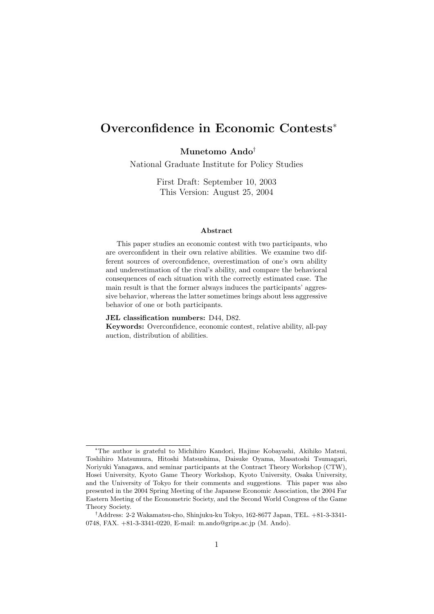# **Overconfidence in Economic Contests**<sup>∗</sup>

**Munetomo Ando**†

National Graduate Institute for Policy Studies

First Draft: September 10, 2003 This Version: August 25, 2004

#### **Abstract**

This paper studies an economic contest with two participants, who are overconfident in their own relative abilities. We examine two different sources of overconfidence, overestimation of one's own ability and underestimation of the rival's ability, and compare the behavioral consequences of each situation with the correctly estimated case. The main result is that the former always induces the participants' aggressive behavior, whereas the latter sometimes brings about less aggressive behavior of one or both participants.

#### **JEL classification numbers:** D44, D82.

**Keywords:** Overconfidence, economic contest, relative ability, all-pay auction, distribution of abilities.

<sup>∗</sup>The author is grateful to Michihiro Kandori, Hajime Kobayashi, Akihiko Matsui, Toshihiro Matsumura, Hitoshi Matsushima, Daisuke Oyama, Masatoshi Tsumagari, Noriyuki Yanagawa, and seminar participants at the Contract Theory Workshop (CTW), Hosei University, Kyoto Game Theory Workshop, Kyoto University, Osaka University, and the University of Tokyo for their comments and suggestions. This paper was also presented in the 2004 Spring Meeting of the Japanese Economic Association, the 2004 Far Eastern Meeting of the Econometric Society, and the Second World Congress of the Game Theory Society.

<sup>†</sup>Address: 2-2 Wakamatsu-cho, Shinjuku-ku Tokyo, 162-8677 Japan, TEL. +81-3-3341- 0748, FAX. +81-3-3341-0220, E-mail: m.ando@grips.ac.jp (M. Ando).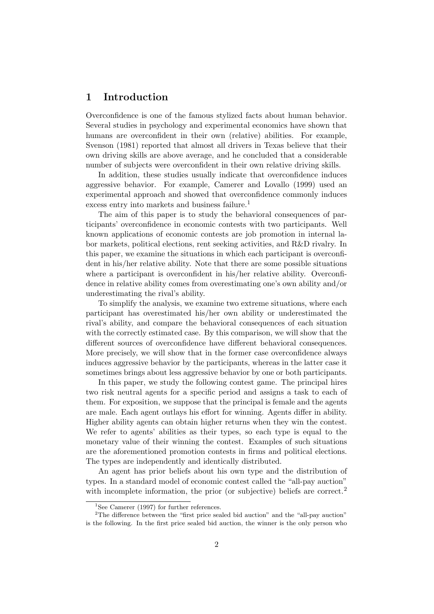## **1 Introduction**

Overconfidence is one of the famous stylized facts about human behavior. Several studies in psychology and experimental economics have shown that humans are overconfident in their own (relative) abilities. For example, Svenson (1981) reported that almost all drivers in Texas believe that their own driving skills are above average, and he concluded that a considerable number of subjects were overconfident in their own relative driving skills.

In addition, these studies usually indicate that overconfidence induces aggressive behavior. For example, Camerer and Lovallo (1999) used an experimental approach and showed that overconfidence commonly induces excess entry into markets and business failure.<sup>1</sup>

The aim of this paper is to study the behavioral consequences of participants' overconfidence in economic contests with two participants. Well known applications of economic contests are job promotion in internal labor markets, political elections, rent seeking activities, and R&D rivalry. In this paper, we examine the situations in which each participant is overconfident in his/her relative ability. Note that there are some possible situations where a participant is overconfident in his/her relative ability. Overconfidence in relative ability comes from overestimating one's own ability and/or underestimating the rival's ability.

To simplify the analysis, we examine two extreme situations, where each participant has overestimated his/her own ability or underestimated the rival's ability, and compare the behavioral consequences of each situation with the correctly estimated case. By this comparison, we will show that the different sources of overconfidence have different behavioral consequences. More precisely, we will show that in the former case overconfidence always induces aggressive behavior by the participants, whereas in the latter case it sometimes brings about less aggressive behavior by one or both participants.

In this paper, we study the following contest game. The principal hires two risk neutral agents for a specific period and assigns a task to each of them. For exposition, we suppose that the principal is female and the agents are male. Each agent outlays his effort for winning. Agents differ in ability. Higher ability agents can obtain higher returns when they win the contest. We refer to agents' abilities as their types, so each type is equal to the monetary value of their winning the contest. Examples of such situations are the aforementioned promotion contests in firms and political elections. The types are independently and identically distributed.

An agent has prior beliefs about his own type and the distribution of types. In a standard model of economic contest called the "all-pay auction" with incomplete information, the prior (or subjective) beliefs are correct.<sup>2</sup>

<sup>&</sup>lt;sup>1</sup>See Camerer (1997) for further references.

<sup>&</sup>lt;sup>2</sup>The difference between the "first price sealed bid auction" and the "all-pay auction" is the following. In the first price sealed bid auction, the winner is the only person who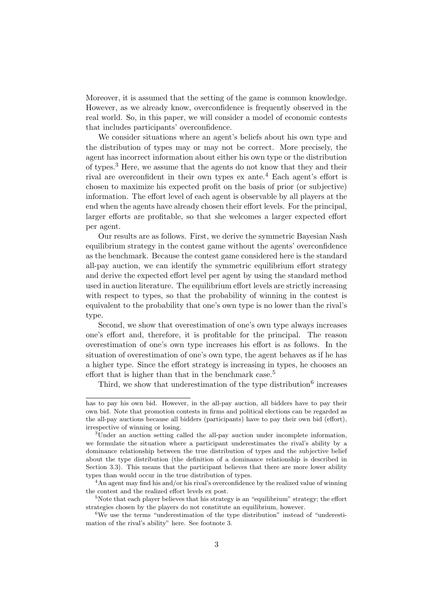Moreover, it is assumed that the setting of the game is common knowledge. However, as we already know, overconfidence is frequently observed in the real world. So, in this paper, we will consider a model of economic contests that includes participants' overconfidence.

We consider situations where an agent's beliefs about his own type and the distribution of types may or may not be correct. More precisely, the agent has incorrect information about either his own type or the distribution of types.<sup>3</sup> Here, we assume that the agents do not know that they and their rival are overconfident in their own types  $ex$  ante.<sup>4</sup> Each agent's effort is chosen to maximize his expected profit on the basis of prior (or subjective) information. The effort level of each agent is observable by all players at the end when the agents have already chosen their effort levels. For the principal, larger efforts are profitable, so that she welcomes a larger expected effort per agent.

Our results are as follows. First, we derive the symmetric Bayesian Nash equilibrium strategy in the contest game without the agents' overconfidence as the benchmark. Because the contest game considered here is the standard all-pay auction, we can identify the symmetric equilibrium effort strategy and derive the expected effort level per agent by using the standard method used in auction literature. The equilibrium effort levels are strictly increasing with respect to types, so that the probability of winning in the contest is equivalent to the probability that one's own type is no lower than the rival's type.

Second, we show that overestimation of one's own type always increases one's effort and, therefore, it is profitable for the principal. The reason overestimation of one's own type increases his effort is as follows. In the situation of overestimation of one's own type, the agent behaves as if he has a higher type. Since the effort strategy is increasing in types, he chooses an effort that is higher than that in the benchmark case.<sup>5</sup>

Third, we show that underestimation of the type distribution<sup>6</sup> increases

has to pay his own bid. However, in the all-pay auction, all bidders have to pay their own bid. Note that promotion contests in firms and political elections can be regarded as the all-pay auctions because all bidders (participants) have to pay their own bid (effort), irrespective of winning or losing.

<sup>3</sup>Under an auction setting called the all-pay auction under incomplete information, we formulate the situation where a participant underestimates the rival's ability by a dominance relationship between the true distribution of types and the subjective belief about the type distribution (the definition of a dominance relationship is described in Section 3.3). This means that the participant believes that there are more lower ability types than would occur in the true distribution of types.

 $4\text{An agent may find his and/or his rival's overconfidence by the realized value of winning}$ the contest and the realized effort levels ex post.

 $5$ Note that each player believes that his strategy is an "equilibrium" strategy; the effort strategies chosen by the players do not constitute an equilibrium, however.

<sup>&</sup>lt;sup>6</sup>We use the terms "underestimation of the type distribution" instead of "underestimation of the rival's ability" here. See footnote 3.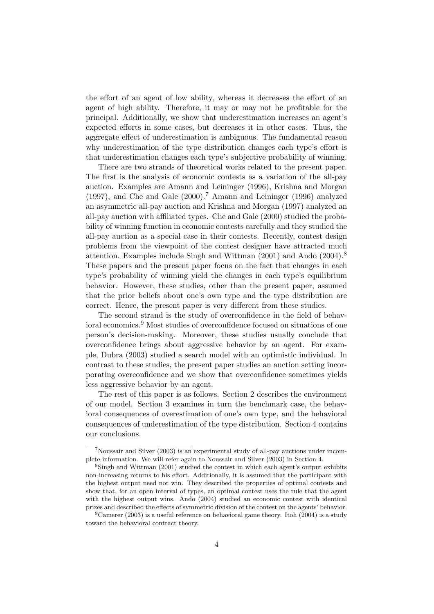the effort of an agent of low ability, whereas it decreases the effort of an agent of high ability. Therefore, it may or may not be profitable for the principal. Additionally, we show that underestimation increases an agent's expected efforts in some cases, but decreases it in other cases. Thus, the aggregate effect of underestimation is ambiguous. The fundamental reason why underestimation of the type distribution changes each type's effort is that underestimation changes each type's subjective probability of winning.

There are two strands of theoretical works related to the present paper. The first is the analysis of economic contests as a variation of the all-pay auction. Examples are Amann and Leininger (1996), Krishna and Morgan (1997), and Che and Gale  $(2000)$ .<sup>7</sup> Amann and Leininger (1996) analyzed an asymmetric all-pay auction and Krishna and Morgan (1997) analyzed an all-pay auction with affiliated types. Che and Gale (2000) studied the probability of winning function in economic contests carefully and they studied the all-pay auction as a special case in their contests. Recently, contest design problems from the viewpoint of the contest designer have attracted much attention. Examples include Singh and Wittman (2001) and Ando (2004).<sup>8</sup> These papers and the present paper focus on the fact that changes in each type's probability of winning yield the changes in each type's equilibrium behavior. However, these studies, other than the present paper, assumed that the prior beliefs about one's own type and the type distribution are correct. Hence, the present paper is very different from these studies.

The second strand is the study of overconfidence in the field of behavioral economics.<sup>9</sup> Most studies of overconfidence focused on situations of one person's decision-making. Moreover, these studies usually conclude that overconfidence brings about aggressive behavior by an agent. For example, Dubra (2003) studied a search model with an optimistic individual. In contrast to these studies, the present paper studies an auction setting incorporating overconfidence and we show that overconfidence sometimes yields less aggressive behavior by an agent.

The rest of this paper is as follows. Section 2 describes the environment of our model. Section 3 examines in turn the benchmark case, the behavioral consequences of overestimation of one's own type, and the behavioral consequences of underestimation of the type distribution. Section 4 contains our conclusions.

<sup>7</sup>Noussair and Silver (2003) is an experimental study of all-pay auctions under incomplete information. We will refer again to Noussair and Silver (2003) in Section 4.

<sup>8</sup>Singh and Wittman (2001) studied the contest in which each agent's output exhibits non-increasing returns to his effort. Additionally, it is assumed that the participant with the highest output need not win. They described the properties of optimal contests and show that, for an open interval of types, an optimal contest uses the rule that the agent with the highest output wins. Ando (2004) studied an economic contest with identical prizes and described the effects of symmetric division of the contest on the agents' behavior.

<sup>&</sup>lt;sup>9</sup>Camerer (2003) is a useful reference on behavioral game theory. Itoh (2004) is a study toward the behavioral contract theory.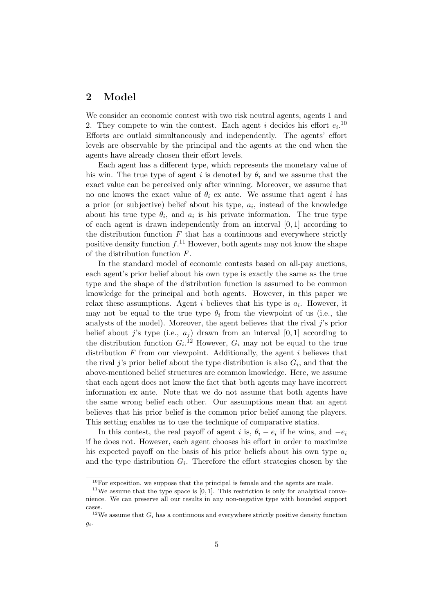# **2 Model**

We consider an economic contest with two risk neutral agents, agents 1 and 2. They compete to win the contest. Each agent *i* decides his effort  $e_i$ <sup>10</sup> Efforts are outlaid simultaneously and independently. The agents' effort levels are observable by the principal and the agents at the end when the agents have already chosen their effort levels.

Each agent has a different type, which represents the monetary value of his win. The true type of agent *i* is denoted by  $\theta_i$  and we assume that the exact value can be perceived only after winning. Moreover, we assume that no one knows the exact value of  $\theta_i$  ex ante. We assume that agent *i* has a prior (or subjective) belief about his type, *a<sup>i</sup>* , instead of the knowledge about his true type  $\theta_i$ , and  $a_i$  is his private information. The true type of each agent is drawn independently from an interval [0*,* 1] according to the distribution function  $F$  that has a continuous and everywhere strictly positive density function  $f<sup>11</sup>$  However, both agents may not know the shape of the distribution function *F*.

In the standard model of economic contests based on all-pay auctions, each agent's prior belief about his own type is exactly the same as the true type and the shape of the distribution function is assumed to be common knowledge for the principal and both agents. However, in this paper we relax these assumptions. Agent  $i$  believes that his type is  $a_i$ . However, it may not be equal to the true type  $\theta_i$  from the viewpoint of us (i.e., the analysts of the model). Moreover, the agent believes that the rival *j*'s prior belief about *j*'s type (i.e.,  $a_j$ ) drawn from an interval [0, 1] according to the distribution function  $G_i$ <sup>[12</sup>] However,  $G_i$  may not be equal to the true distribution *F* from our viewpoint. Additionally, the agent *i* believes that the rival *j*'s prior belief about the type distribution is also  $G_i$ , and that the above-mentioned belief structures are common knowledge. Here, we assume that each agent does not know the fact that both agents may have incorrect information ex ante. Note that we do not assume that both agents have the same wrong belief each other. Our assumptions mean that an agent believes that his prior belief is the common prior belief among the players. This setting enables us to use the technique of comparative statics.

In this contest, the real payoff of agent *i* is,  $\theta_i - e_i$  if he wins, and  $-e_i$ if he does not. However, each agent chooses his effort in order to maximize his expected payoff on the basis of his prior beliefs about his own type *a<sup>i</sup>* and the type distribution  $G_i$ . Therefore the effort strategies chosen by the

 $10$ For exposition, we suppose that the principal is female and the agents are male.

<sup>&</sup>lt;sup>11</sup>We assume that the type space is  $[0, 1]$ . This restriction is only for analytical convenience. We can preserve all our results in any non-negative type with bounded support cases.

<sup>&</sup>lt;sup>12</sup>We assume that  $G_i$  has a continuous and everywhere strictly positive density function *gi*.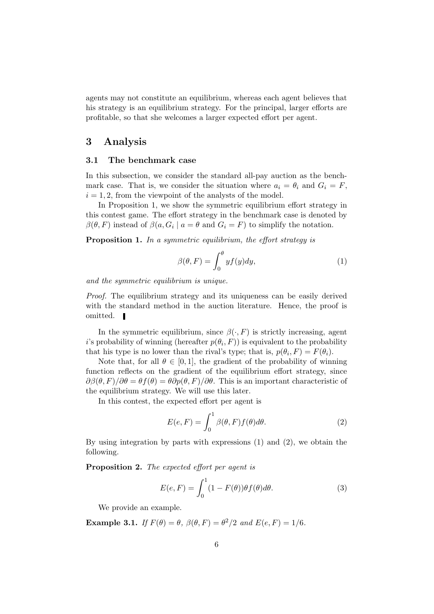agents may not constitute an equilibrium, whereas each agent believes that his strategy is an equilibrium strategy. For the principal, larger efforts are profitable, so that she welcomes a larger expected effort per agent.

### **3 Analysis**

#### **3.1 The benchmark case**

In this subsection, we consider the standard all-pay auction as the benchmark case. That is, we consider the situation where  $a_i = \theta_i$  and  $G_i = F$ ,  $i = 1, 2$ , from the viewpoint of the analysts of the model.

In Proposition 1, we show the symmetric equilibrium effort strategy in this contest game. The effort strategy in the benchmark case is denoted by  $\beta(\theta, F)$  instead of  $\beta(a, G_i \mid a = \theta \text{ and } G_i = F)$  to simplify the notation.

**Proposition 1.** *In a symmetric equilibrium, the effort strategy is*

$$
\beta(\theta, F) = \int_0^{\theta} y f(y) dy,
$$
\n(1)

*and the symmetric equilibrium is unique.*

*Proof.* The equilibrium strategy and its uniqueness can be easily derived with the standard method in the auction literature. Hence, the proof is omitted.

In the symmetric equilibrium, since  $\beta(\cdot, F)$  is strictly increasing, agent *i*'s probability of winning (hereafter  $p(\theta_i, F)$ ) is equivalent to the probability that his type is no lower than the rival's type; that is,  $p(\theta_i, F) = F(\theta_i)$ .

Note that, for all  $\theta \in [0, 1]$ , the gradient of the probability of winning function reflects on the gradient of the equilibrium effort strategy, since  $\partial \beta(\theta, F)/\partial \theta = \theta f(\theta) = \theta \partial p(\theta, F)/\partial \theta$ . This is an important characteristic of the equilibrium strategy. We will use this later.

In this contest, the expected effort per agent is

$$
E(e, F) = \int_0^1 \beta(\theta, F) f(\theta) d\theta.
$$
 (2)

By using integration by parts with expressions (1) and (2), we obtain the following.

**Proposition 2.** *The expected effort per agent is*

$$
E(e, F) = \int_0^1 (1 - F(\theta)) \theta f(\theta) d\theta.
$$
 (3)

We provide an example.

**Example 3.1.** *If*  $F(\theta) = \theta$ ,  $\beta(\theta, F) = \theta^2/2$  *and*  $E(e, F) = 1/6$ *.*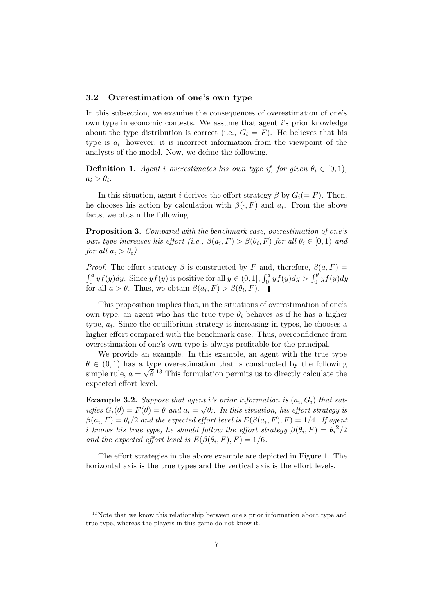### **3.2 Overestimation of one's own type**

In this subsection, we examine the consequences of overestimation of one's own type in economic contests. We assume that agent *i*'s prior knowledge about the type distribution is correct (i.e.,  $G_i = F$ ). He believes that his type is  $a_i$ ; however, it is incorrect information from the viewpoint of the analysts of the model. Now, we define the following.

**Definition 1.** *Agent i* overestimates his own type if, for given  $\theta_i \in [0,1)$ ,  $a_i > \theta_i$ .

In this situation, agent *i* derives the effort strategy  $\beta$  by  $G_i(=F)$ . Then, he chooses his action by calculation with  $\beta(\cdot, F)$  and  $a_i$ . From the above facts, we obtain the following.

**Proposition 3.** *Compared with the benchmark case, overestimation of one's own type increases his effort (i.e.,*  $\beta(a_i, F) > \beta(\theta_i, F)$  *for all*  $\theta_i \in [0, 1)$  *and for all*  $a_i > \theta_i$ .

*Proof.* The effort strategy  $\beta$  is constructed by *F* and, therefore,  $\beta(a, F)$  =  $\int_0^a y f(y) dy$ . Since  $y f(y)$  is positive for all  $y \in (0, 1]$ ,  $\int_0^a y f(y) dy > \int_0^{\theta} y f(y) dy$ for all  $a > \theta$ . Thus, we obtain  $\beta(a_i, F) > \beta(\theta_i, F)$ .

This proposition implies that, in the situations of overestimation of one's own type, an agent who has the true type  $\theta_i$  behaves as if he has a higher type,  $a_i$ . Since the equilibrium strategy is increasing in types, he chooses a higher effort compared with the benchmark case. Thus, overconfidence from overestimation of one's own type is always profitable for the principal.

We provide an example. In this example, an agent with the true type  $\theta \in (0, 1)$  has a type overestimation that is constructed by the following simple rule,  $a =$ *√*  $\bar{\theta}$ <sup>13</sup> This formulation permits us to directly calculate the expected effort level.

**Example 3.2.** Suppose that agent *i*'s prior information is  $(a_i, G_i)$  that sat*isfies*  $G_i(\theta) = F(\theta) = \theta$  *and*  $a_i = \sqrt{\theta_i}$ *. In this situation, his effort strategy is*  $\beta(a_i, F) = \theta_i/2$  *and the expected effort level is*  $E(\beta(a_i, F), F) = 1/4$ *. If agent i* knows his true type, he should follow the effort strategy  $\beta(\theta_i, F) = \theta_i^2/2$ *and the expected effort level is*  $E(\beta(\theta_i, F), F) = 1/6$ *.* 

The effort strategies in the above example are depicted in Figure 1. The horizontal axis is the true types and the vertical axis is the effort levels.

 $13$ Note that we know this relationship between one's prior information about type and true type, whereas the players in this game do not know it.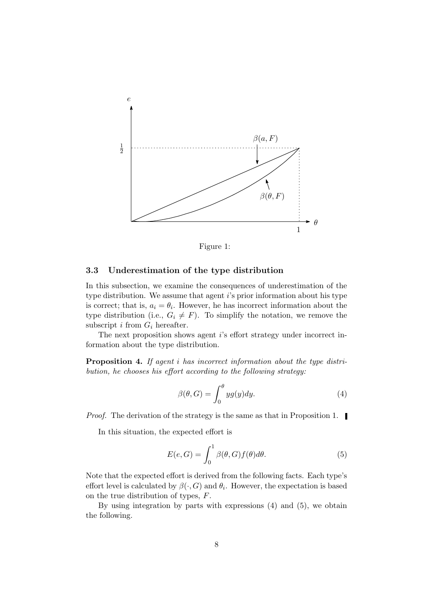

Figure 1:

### **3.3 Underestimation of the type distribution**

In this subsection, we examine the consequences of underestimation of the type distribution. We assume that agent *i*'s prior information about his type is correct; that is,  $a_i = \theta_i$ . However, he has incorrect information about the type distribution (i.e.,  $G_i \neq F$ ). To simplify the notation, we remove the subscript  $i$  from  $G_i$  hereafter.

The next proposition shows agent *i*'s effort strategy under incorrect information about the type distribution.

**Proposition 4.** *If agent i has incorrect information about the type distribution, he chooses his effort according to the following strategy:*

$$
\beta(\theta, G) = \int_0^{\theta} yg(y)dy.
$$
 (4)

*Proof.* The derivation of the strategy is the same as that in Proposition 1.

In this situation, the expected effort is

$$
E(e, G) = \int_0^1 \beta(\theta, G) f(\theta) d\theta.
$$
 (5)

Note that the expected effort is derived from the following facts. Each type's effort level is calculated by  $\beta(\cdot, G)$  and  $\theta_i$ . However, the expectation is based on the true distribution of types, *F*.

By using integration by parts with expressions (4) and (5), we obtain the following.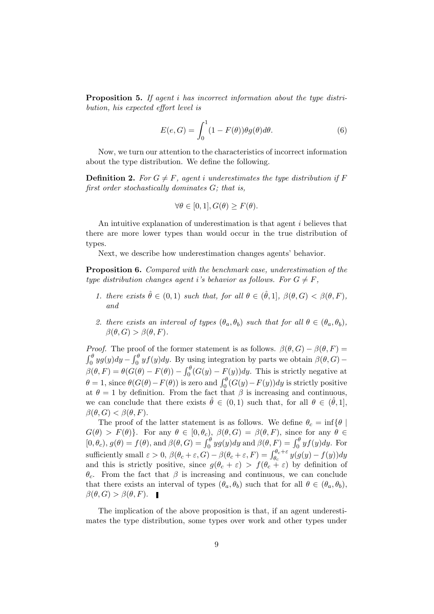**Proposition 5.** *If agent i has incorrect information about the type distribution, his expected effort level is*

$$
E(e, G) = \int_0^1 (1 - F(\theta)) \theta g(\theta) d\theta.
$$
 (6)

Now, we turn our attention to the characteristics of incorrect information about the type distribution. We define the following.

**Definition 2.** For  $G \neq F$ , agent *i* underestimates the type distribution if F *first order stochastically dominates G; that is,*

$$
\forall \theta \in [0, 1], G(\theta) \ge F(\theta).
$$

An intuitive explanation of underestimation is that agent *i* believes that there are more lower types than would occur in the true distribution of types.

Next, we describe how underestimation changes agents' behavior.

**Proposition 6.** *Compared with the benchmark case, underestimation of the type distribution changes agent <i>i*'s behavior as follows. For  $G \neq F$ ,

- *1. there exists*  $\hat{\theta} \in (0,1)$  *such that, for all*  $\theta \in (\hat{\theta},1]$ *,*  $\beta(\theta, G) < \beta(\theta, F)$ *, and*
- *2. there exists an interval of types*  $(\theta_a, \theta_b)$  *such that for all*  $\theta \in (\theta_a, \theta_b)$ ,  $\beta(\theta, G) > \beta(\theta, F)$ .

*Proof.* The proof of the former statement is as follows.  $\beta(\theta, G) - \beta(\theta, F) =$  $\int_0^\theta y g(y) dy - \int_0^\theta y f(y) dy$ . By using integration by parts we obtain  $\beta(\theta, G)$  –  $\beta(\theta, F) = \theta(G(\theta) - F(\theta)) - \int_0^{\theta} (G(y) - F(y)) dy$ . This is strictly negative at  $\theta = 1$ , since  $\theta(G(\theta) - F(\theta))$  is zero and  $\int_0^{\theta} (G(y) - F(y)) dy$  is strictly positive at  $\theta = 1$  by definition. From the fact that  $\beta$  is increasing and continuous, we can conclude that there exists  $\hat{\theta} \in (0,1)$  such that, for all  $\theta \in (\hat{\theta},1]$ ,  $\beta(\theta, G) < \beta(\theta, F)$ .

The proof of the latter statement is as follows. We define  $\theta_c = \inf \{ \theta \mid \theta$  $G(\theta) > F(\theta)$ <sup>}</sup>. For any  $\theta \in [0, \theta_c)$ ,  $\beta(\theta, G) = \beta(\theta, F)$ , since for any  $\theta \in$  $[0, \theta_c)$ ,  $g(\theta) = f(\theta)$ , and  $\beta(\theta, G) = \int_0^{\theta} yg(y)dy$  and  $\beta(\theta, F) = \int_0^{\theta} yf(y)dy$ . For sufficiently small  $\varepsilon > 0$ ,  $\beta(\theta_c + \varepsilon, G) - \beta(\theta_c + \varepsilon, F) = \int_{\theta_c}^{\theta_c + \varepsilon} y(g(y) - f(y)) dy$ and this is strictly positive, since  $g(\theta_c + \varepsilon) > f(\theta_c + \varepsilon)$  by definition of *θc*. From the fact that *β* is increasing and continuous, we can conclude that there exists an interval of types  $(\theta_a, \theta_b)$  such that for all  $\theta \in (\theta_a, \theta_b)$ ,  $\beta(\theta, G) > \beta(\theta, F)$ . **■** 

The implication of the above proposition is that, if an agent underestimates the type distribution, some types over work and other types under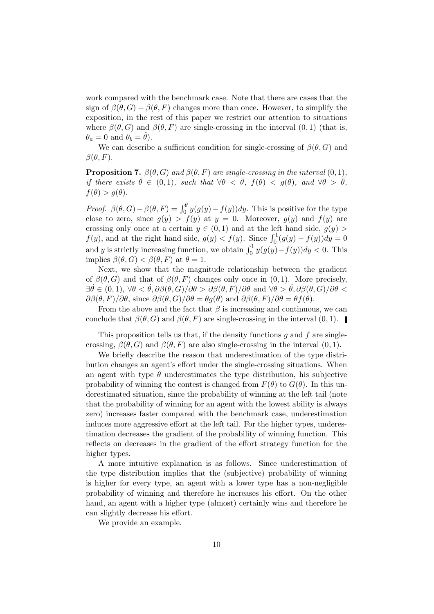work compared with the benchmark case. Note that there are cases that the sign of  $\beta(\theta, G) - \beta(\theta, F)$  changes more than once. However, to simplify the exposition, in the rest of this paper we restrict our attention to situations where  $\beta(\theta, G)$  and  $\beta(\theta, F)$  are single-crossing in the interval  $(0, 1)$  (that is,  $\theta_a = 0$  and  $\theta_b = \theta$ ).

We can describe a sufficient condition for single-crossing of  $\beta(\theta, G)$  and  $\beta(\theta, F)$ .

**Proposition 7.**  $\beta(\theta, G)$  *and*  $\beta(\theta, F)$  *are single-crossing in the interval*  $(0, 1)$ *, if there exists*  $\bar{\theta} \in (0,1)$ *, such that*  $\forall \theta \leq \bar{\theta}$ *,*  $f(\theta) \leq q(\theta)$ *<i>, and*  $\forall \theta > \bar{\theta}$ *,*  $f(\theta) > g(\theta)$ .

*Proof.*  $\beta(\theta, G) - \beta(\theta, F) = \int_0^{\theta} y(g(y) - f(y)) dy$ . This is positive for the type close to zero, since  $g(y) > f(y)$  at  $y = 0$ . Moreover,  $g(y)$  and  $f(y)$  are crossing only once at a certain  $y \in (0,1)$  and at the left hand side,  $g(y)$  $f(y)$ , and at the right hand side,  $g(y) < f(y)$ . Since  $\int_0^1 (g(y) - f(y)) dy = 0$ and *y* is strictly increasing function, we obtain  $\int_0^1 y(g(y) - f(y)) dy < 0$ . This implies  $\beta(\theta, G) < \beta(\theta, F)$  at  $\theta = 1$ .

Next, we show that the magnitude relationship between the gradient of  $\beta(\theta, G)$  and that of  $\beta(\theta, F)$  changes only once in  $(0, 1)$ . More precisely, *∃*´*θ ∈* (0*,* 1), *∀θ <* ´*θ, ∂β*(*θ, G*)*/∂θ > ∂β*(*θ, F*)*/∂θ* and *∀θ >* ´*θ, ∂β*(*θ, G*)*/∂θ < ∂β*(*θ, F*)*/∂θ*, since *∂β*(*θ, G*)*/∂θ* = *θg*(*θ*) and *∂β*(*θ, F*)*/∂θ* = *θf*(*θ*).

From the above and the fact that  $\beta$  is increasing and continuous, we can conclude that  $\beta(\theta, G)$  and  $\beta(\theta, F)$  are single-crossing in the interval  $(0, 1)$ .

This proposition tells us that, if the density functions *g* and *f* are singlecrossing,  $\beta(\theta, G)$  and  $\beta(\theta, F)$  are also single-crossing in the interval  $(0, 1)$ .

We briefly describe the reason that underestimation of the type distribution changes an agent's effort under the single-crossing situations. When an agent with type  $\theta$  underestimates the type distribution, his subjective probability of winning the contest is changed from  $F(\theta)$  to  $G(\theta)$ . In this underestimated situation, since the probability of winning at the left tail (note that the probability of winning for an agent with the lowest ability is always zero) increases faster compared with the benchmark case, underestimation induces more aggressive effort at the left tail. For the higher types, underestimation decreases the gradient of the probability of winning function. This reflects on decreases in the gradient of the effort strategy function for the higher types.

A more intuitive explanation is as follows. Since underestimation of the type distribution implies that the (subjective) probability of winning is higher for every type, an agent with a lower type has a non-negligible probability of winning and therefore he increases his effort. On the other hand, an agent with a higher type (almost) certainly wins and therefore he can slightly decrease his effort.

We provide an example.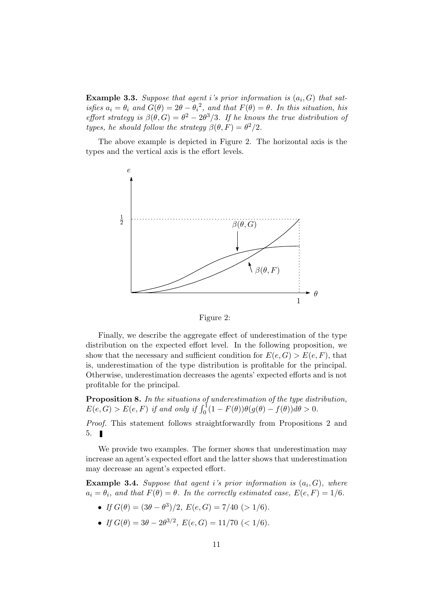**Example 3.3.** *Suppose that agent i's prior information is* (*a<sup>i</sup> , G*) *that satisfies*  $a_i = \theta_i$  *and*  $G(\theta) = 2\theta - {\theta_i}^2$ , *and that*  $F(\theta) = \theta$ . In this situation, his *effort strategy is*  $\beta(\theta, G) = \theta^2 - 2\theta^3/3$ . *If he knows the true distribution of types, he should follow the strategy*  $\beta(\theta, F) = \theta^2/2$ *.* 

The above example is depicted in Figure 2. The horizontal axis is the types and the vertical axis is the effort levels.





Finally, we describe the aggregate effect of underestimation of the type distribution on the expected effort level. In the following proposition, we show that the necessary and sufficient condition for  $E(e, G) > E(e, F)$ , that is, underestimation of the type distribution is profitable for the principal. Otherwise, underestimation decreases the agents' expected efforts and is not profitable for the principal.

**Proposition 8.** *In the situations of underestimation of the type distribution,*  $E(e, G) > E(e, F)$  *if and only if*  $\int_0^1 (1 - F(\theta)) \theta(g(\theta) - f(\theta)) d\theta > 0$ .

*Proof.* This statement follows straightforwardly from Propositions 2 and 5.

We provide two examples. The former shows that underestimation may increase an agent's expected effort and the latter shows that underestimation may decrease an agent's expected effort.

**Example 3.4.** Suppose that agent *i*'s prior information is  $(a_i, G)$ , where  $a_i = \theta_i$ , and that  $F(\theta) = \theta$ . In the correctly estimated case,  $E(e, F) = 1/6$ .

- $\bullet$  *If*  $G(\theta) = (3\theta \theta^3)/2$ ,  $E(e, G) = 7/40$  (> 1/6).
- $\bullet$  *If*  $G(\theta) = 3\theta 2\theta^{3/2}$ ,  $E(e, G) = 11/70$  (< 1/6).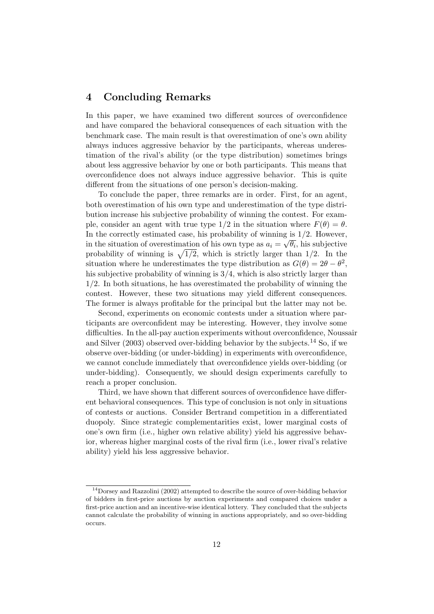### **4 Concluding Remarks**

In this paper, we have examined two different sources of overconfidence and have compared the behavioral consequences of each situation with the benchmark case. The main result is that overestimation of one's own ability always induces aggressive behavior by the participants, whereas underestimation of the rival's ability (or the type distribution) sometimes brings about less aggressive behavior by one or both participants. This means that overconfidence does not always induce aggressive behavior. This is quite different from the situations of one person's decision-making.

To conclude the paper, three remarks are in order. First, for an agent, both overestimation of his own type and underestimation of the type distribution increase his subjective probability of winning the contest. For example, consider an agent with true type  $1/2$  in the situation where  $F(\theta) = \theta$ . In the correctly estimated case, his probability of winning is  $1/2$ . However, in the situation of overestimation of his own type as  $a_i = \sqrt{\theta_i}$ , his subjective probability of winning is  $\sqrt{1/2}$ , which is strictly larger than 1/2. In the situation where he underestimates the type distribution as  $G(\theta) = 2\theta - \theta^2$ , his subjective probability of winning is 3*/*4, which is also strictly larger than 1*/*2. In both situations, he has overestimated the probability of winning the contest. However, these two situations may yield different consequences. The former is always profitable for the principal but the latter may not be.

Second, experiments on economic contests under a situation where participants are overconfident may be interesting. However, they involve some difficulties. In the all-pay auction experiments without overconfidence, Noussair and Silver  $(2003)$  observed over-bidding behavior by the subjects.<sup>14</sup> So, if we observe over-bidding (or under-bidding) in experiments with overconfidence, we cannot conclude immediately that overconfidence yields over-bidding (or under-bidding). Consequently, we should design experiments carefully to reach a proper conclusion.

Third, we have shown that different sources of overconfidence have different behavioral consequences. This type of conclusion is not only in situations of contests or auctions. Consider Bertrand competition in a differentiated duopoly. Since strategic complementarities exist, lower marginal costs of one's own firm (i.e., higher own relative ability) yield his aggressive behavior, whereas higher marginal costs of the rival firm (i.e., lower rival's relative ability) yield his less aggressive behavior.

<sup>&</sup>lt;sup>14</sup>Dorsey and Razzolini (2002) attempted to describe the source of over-bidding behavior of bidders in first-price auctions by auction experiments and compared choices under a first-price auction and an incentive-wise identical lottery. They concluded that the subjects cannot calculate the probability of winning in auctions appropriately, and so over-bidding occurs.